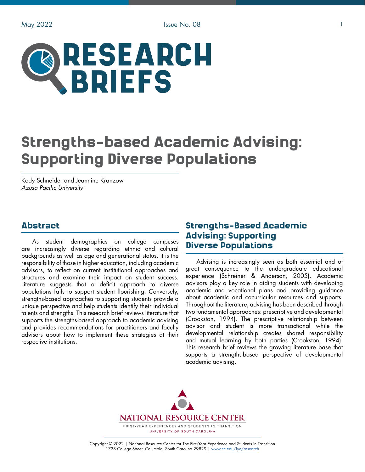

# Strengths-based Academic Advising: Supporting Diverse Populations

Kody Schneider and Jeannine Kranzow *Azusa Pacific University*

## Abstract

As student demographics on college campuses are increasingly diverse regarding ethnic and cultural backgrounds as well as age and generational status, it is the responsibility of those in higher education, including academic advisors, to reflect on current institutional approaches and structures and examine their impact on student success. Literature suggests that a deficit approach to diverse populations fails to support student flourishing. Conversely, strengths-based approaches to supporting students provide a unique perspective and help students identify their individual talents and strengths. This research brief reviews literature that supports the strengths-based approach to academic advising and provides recommendations for practitioners and faculty advisors about how to implement these strategies at their respective institutions.

## Strengths-Based Academic Advising: Supporting Diverse Populations

Advising is increasingly seen as both essential and of great consequence to the undergraduate educational experience (Schreiner & Anderson, 2005). Academic advisors play a key role in aiding students with developing academic and vocational plans and providing guidance about academic and cocurricular resources and supports. Throughout the literature, advising has been described through two fundamental approaches: prescriptive and developmental (Crookston, 1994). The prescriptive relationship between advisor and student is more transactional while the developmental relationship creates shared responsibility and mutual learning by both parties (Crookston, 1994). This research brief reviews the growing literature base that supports a strengths-based perspective of developmental academic advising.



Copyright © 2022 | National Resource Center for The First-Year Experience and Students in Transition 1728 College Street, Columbia, South Carolina 29829 | [www.sc.edu/fye/research](https://sc.edu/about/offices_and_divisions/national_resource_center/research/index.php)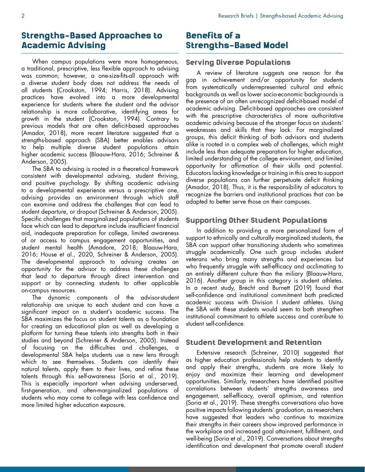## Strengths-Based Approaches to Academic Advising

When campus populations were more homogeneous, a traditional, prescriptive, less flexible approach to advising was common; however, a one-size-fits-all approach with a diverse student body does not address the needs of all students (Crookston, 1994; Harris, 2018). Advising practices have evolved into a more developmental experience for students where the student and the advisor relationship is more collaborative, identifying areas for growth in the student (Crookston, 1994). Contrary to previous models that are often deficit-based approaches (Amador, 2018), more recent literature suggested that a strengths-based approach (SBA) better enables advisors to help multiple diverse student populations attain higher academic success (Blaauw-Hara, 2016; Schreiner & Anderson, 2005).

The SBA to advising is rooted in a theoretical framework consistent with developmental advising, student thriving, and positive psychology. By shifting academic advising to a developmental experience versus a prescriptive one, advising provides an environment through which staff can examine and address the challenges that can lead to student departure, or dropout (Schreiner & Anderson, 2005). Specific challenges that marginalized populations of students face which can lead to departure include insufficient financial aid, inadequate preparation for college, limited awareness of or access to campus engagement opportunities, and student mental health (Amadore, 2018; Blaauw-Hara, 2016; House et al., 2020, Schreiner & Anderson, 2005). The developmental approach to advising creates an opportunity for the advisor to address these challenges that lead to departure through direct intervention and support or by connecting students to other applicable on-campus resources.

The dynamic components of the advisor-student relationship are unique to each student and can have a significant impact on a student's academic success. The SBA maximizes the focus on student talents as a foundation for creating an educational plan as well as developing a platform for turning these talents into strengths both in their studies and beyond (Schreiner & Anderson, 2005). Instead of focusing on the difficulties and challenges, a developmental SBA helps students use a new lens through which to see themselves. Students can identify their natural talents, apply them to their lives, and refine these talents through this self-awareness (Soria et al., 2019). This is especially important when advising underserved, first-generation, and often-marginalized populations of students who may come to college with less confidence and more limited higher education exposure.

## Benefits of a Strengths-Based Model

### Serving Diverse Populations

A review of literature suggests one reason for the gap in achievement and/or opportunity for students from systematically underrepresented cultural and ethnic backgrounds as well as lower socio-economic backgrounds is the presence of an often unrecognized deficit-based model of academic advising. Deficit-based approaches are consistent with the prescriptive characteristics of more authoritative academic advising because of the stronger focus on students' weaknesses and skills that they lack. For marginalized groups, this deficit thinking of both advisors and students alike is rooted in a complex web of challenges, which might include less than adequate preparation for higher education, limited understanding of the college environment, and limited opportunity for affirmation of their skills and potential. Educators lacking knowledge or training in this area to support diverse populations can further perpetuate deficit thinking (Amador, 2018). Thus, it is the responsibility of educators to recognize the barriers and institutional practices that can be adapted to better serve those on their campuses.

### Supporting Other Student Populations

In addition to providing a more personalized form of support to ethnically and culturally marginalized students, the SBA can support other transitioning students who sometimes struggle academically. One such group includes student veterans who bring many strengths and experiences but who frequently struggle with self-efficacy and acclimating to an entirely different culture than the miliary (Blaauw-Hara, 2016). Another group in this category is student athletes. In a recent study, Brecht and Burnett (2019) found that self-confidence and institutional commitment both predicted academic success with Division I student athletes. Using the SBA with these students would seem to both strengthen institutional commitment to athlete success and contribute to student self-confidence.

### Student Development and Retention

Extensive research (Schreiner, 2010) suggested that as higher education professionals help students to identify and apply their strengths, students are more likely to enjoy and maximize their learning and development opportunities. Similarly, researchers have identified positive correlations between students' strengths awareness and engagement, self-efficacy, overall optimism, and retention (Soria et al., 2019). These strengths conversations also have positive impacts following students' graduation, as researchers have suggested that leaders who continue to maximize their strengths in their careers show improved performance in the workplace and increased goal attainment, fulfillment, and well-being (Soria et al., 2019). Conversations about strengths identification and development that promote overall student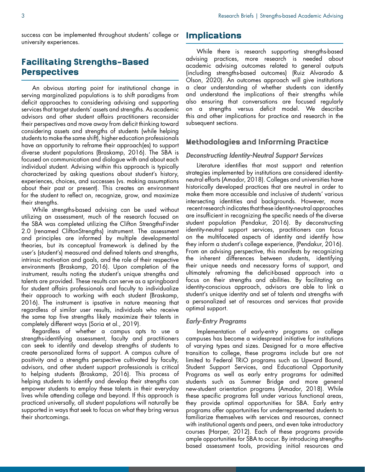success can be implemented throughout students' college or university experiences.

# Facilitating Strengths-Based Perspectives

An obvious starting point for institutional change in serving marginalized populations is to shift paradigms from deficit approaches to considering advising and supporting services that target students' assets and strengths. As academic advisors and other student affairs practitioners reconsider their perspectives and move away from deficit thinking toward considering assets and strengths of students (while helping students to make the same shift), higher education professionals have an opportunity to reframe their approach(es) to support diverse student populations (Braskamp, 2016). The SBA is focused on communication and dialogue with and about each individual student. Advising within this approach is typically characterized by asking questions about student's history, experiences, choices, and successes (vs. making assumptions about their past or present). This creates an environment for the student to reflect on, recognize, grow, and maximize their strengths.

While strengths-based advising can be used without utilizing an assessment, much of the research focused on the SBA was completed utilizing the Clifton StrengthsFinder 2.0 (renamed CliftonStrengths) instrument. The assessment and principles are informed by multiple developmental theories, but its conceptual framework is defined by the user's (student's) measured and defined talents and strengths, intrinsic motivation and goals, and the role of their respective environments (Braskamp, 2016). Upon completion of the instrument, results noting the student's unique strengths and talents are provided. These results can serve as a springboard for student affairs professionals and faculty to individualize their approach to working with each student (Braskamp, 2016). The instrument is ipsative in nature meaning that regardless of similar user results, individuals who receive the same top five strengths likely maximize their talents in completely different ways (Soria et al., 2019).

Regardless of whether a campus opts to use a strengths-identifying assessment, faculty and practitioners can seek to identify and develop strengths of students to create personalized forms of support. A campus culture of positivity and a strengths perspective cultivated by faculty, advisors, and other student support professionals is critical to helping students (Braskamp, 2016). This process of helping students to identify and develop their strengths can empower students to employ these talents in their everyday lives while attending college and beyond. If this approach is practiced universally, all student populations will naturally be supported in ways that seek to focus on what they bring versus their shortcomings.

## Implications

While there is research supporting strengths-based advising practices, more research is needed about academic advising outcomes related to general outputs (including strengths-based outcomes) (Ruiz Alvarado & Olson, 2020). An outcomes approach will give institutions a clear understanding of whether students can identify and understand the implications of their strengths while also ensuring that conversations are focused regularly on a strengths versus deficit model. We describe this and other implications for practice and research in the subsequent sections.

## Methodologies and Informing Practice

#### *Deconstructing Identity-Neutral Support Services*

Literature identifies that most support and retention strategies implemented by institutions are considered identityneutral efforts (Amador, 2018). Colleges and universities have historically developed practices that are neutral in order to make them more accessible and inclusive of students' various intersecting identities and backgrounds. However, more recent research indicates that these identity-neutral approaches are insufficient in recognizing the specific needs of the diverse student population (Pendakur, 2016). By deconstructing identity-neutral support services, practitioners can focus on the multifaceted aspects of identity and identify how they inform a student's college experience, (Pendakur, 2016). From an advising perspective, this manifests by recognizing the inherent differences between students, identifying their unique needs and necessary forms of support, and ultimately reframing the deficit-based approach into a focus on their strengths and abilities. By facilitating an identity-conscious approach, advisors are able to link a student's unique identity and set of talents and strengths with a personalized set of resources and services that provide optimal support.

#### *Early-Entry Programs*

Implementation of early-entry programs on college campuses has become a widespread initiative for institutions of varying types and sizes. Designed for a more effective transition to college, these programs include but are not limited to Federal TRiO programs such as Upward Bound, Student Support Services, and Educational Opportunity Programs as well as early entry programs for admitted students such as Summer Bridge and more general new-student orientation programs (Amador, 2018). While these specific programs fall under various functional areas, they provide optimal opportunities for SBA. Early entry programs offer opportunities for underrepresented students to familiarize themselves with services and resources, connect with institutional agents and peers, and even take introductory courses (Harper, 2012). Each of these programs provide ample opportunities for SBA to occur. By introducing strengthsbased assessment tools, providing initial resources and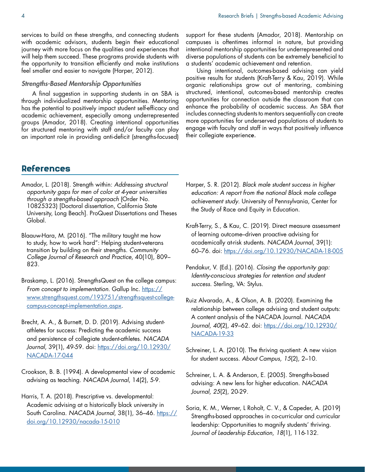services to build on these strengths, and connecting students with academic advisors, students begin their educational journey with more focus on the qualities and experiences that will help them succeed. These programs provide students with the opportunity to transition efficiently and make institutions feel smaller and easier to navigate (Harper, 2012).

#### *Strengths-Based Mentorship Opportunities*

A final suggestion in supporting students in an SBA is through individualized mentorship opportunities. Mentoring has the potential to positively impact student self-efficacy and academic achievement, especially among underrepresented groups (Amador, 2018). Creating intentional opportunities for structured mentoring with staff and/or faculty can play an important role in providing anti-deficit (strengths-focused)

support for these students (Amador, 2018). Mentorship on campuses is oftentimes informal in nature, but providing intentional mentorship opportunities for underrepresented and diverse populations of students can be extremely beneficial to a students' academic achievement and retention.

Using intentional, outcomes-based advising can yield positive results for students (Kraft-Terry & Kau, 2019). While organic relationships grow out of mentoring, combining structured, intentional, outcomes-based mentorship creates opportunities for connection outside the classroom that can enhance the probability of academic success. An SBA that includes connecting students to mentors sequentially can create more opportunities for underserved populations of students to engage with faculty and staff in ways that positively influence their collegiate experien*ce.*

## References

- Amador, L. (2018). Strength within: *Addressing structural opportunity gaps for men of color at 4-year universities through a strengths-based approach* (Order No. 10825323) [Doctoral dissertation, California State University, Long Beach]. ProQuest Dissertations and Theses Global.
- Blaauw-Hara, M. (2016). "The military taught me how to study, how to work hard": Helping student-veterans transition by building on their strengths. *Community College Journal of Research and Practice*, 40(10), 809– 823.
- Braskamp, L. (2016). StrengthsQuest on the college campus: *From concept to implementation*. Gallup Inc. [https://](https://www.strengthsquest.com/193751/strengthsquest-college-campus-concept-implementation.aspx) [www.strengthsquest.com/193751/strengthsquest-college](https://www.strengthsquest.com/193751/strengthsquest-college-campus-concept-implementation.aspx)[campus-concept-implementation.aspx.](https://www.strengthsquest.com/193751/strengthsquest-college-campus-concept-implementation.aspx)
- Brecht, A. A., & Burnett, D. D. (2019). Advising studentathletes for success: Predicting the academic success and persistence of collegiate student-athletes. *NACADA Journal*, 39(1), 49-59. doi: [https://doi.org/10.12930/](https://doi.org/10.12930/NACADA-17-044) [NACADA-17-044](https://doi.org/10.12930/NACADA-17-044)
- Crookson, B. B. (1994). A developmental view of academic advising as teaching. *NACADA Journal*, 14(2), 5-9.
- Harris, T. A. (2018). Prescriptive vs. developmental: Academic advising at a historically black university in South Carolina. *NACADA Journal*, 38(1), 36-46. [https://](https://doi.org/10.12930/nacada-15-010) [doi.org/10.12930/nacada-15-010](https://doi.org/10.12930/nacada-15-010)
- Harper, S. R. (2012). *Black male student success in higher education: A report from the national Black male college achievement study*. University of Pennsylvania, Center for the Study of Race and Equity in Education.
- Kraft-Terry, S., & Kau, C. (2019). Direct measure assessment of learning outcome–driven proactive advising for academically at-risk students. *NACADA Journal*, 39(1): 60–76. doi: [https://doi.org/10.12930/NACADA-18-005](https://doi.org/10.12930/NACADA-18-005 )
- Pendakur, V. (Ed.). (2016). *Closing the opportunity gap: Identity-conscious strategies for retention and student success*. Sterling, VA: Stylus.
- Ruiz Alvarado, A., & Olson, A. B. (2020). Examining the relationship between college advising and student outputs: A content analysis of the NACADA Journal. *NACADA Journal, 40*(2), 49–62. doi: [https://doi.org/10.12930/](https://doi.org/10.12930/NACADA-19-33) [NACADA-19-33](https://doi.org/10.12930/NACADA-19-33)
- Schreiner, L. A. (2010). The thriving quotient: A new vision for student success. *About Campus, 15*(2), 2–10.
- Schreiner, L. A. & Anderson, E. (2005). Strengths-based advising: A new lens for higher education. *NACADA Journal, 25*(2), 20-29.
- Soria, K. M., Werner, L Roholt, C. V., & Capeder, A. (2019) Strengths-based approaches in co-curricular and curricular leadership: Opportunities to magnify students' thriving. *Journal of Leadership Education, 18*(1), 116-132.